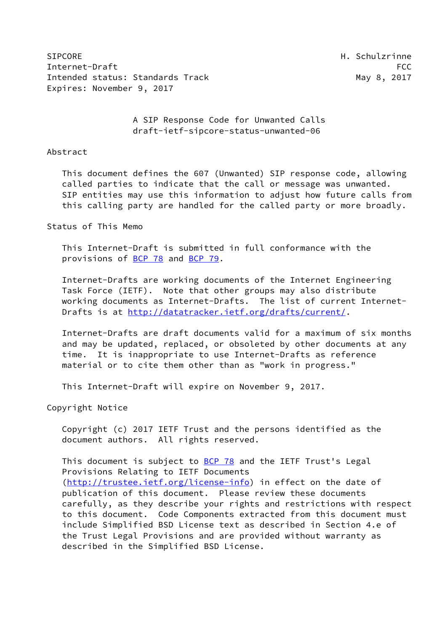SIPCORE **H. Schulzrinne** Internet-Draft FCC Intended status: Standards Track May 8, 2017 Expires: November 9, 2017

 A SIP Response Code for Unwanted Calls draft-ietf-sipcore-status-unwanted-06

### Abstract

 This document defines the 607 (Unwanted) SIP response code, allowing called parties to indicate that the call or message was unwanted. SIP entities may use this information to adjust how future calls from this calling party are handled for the called party or more broadly.

## Status of This Memo

 This Internet-Draft is submitted in full conformance with the provisions of [BCP 78](https://datatracker.ietf.org/doc/pdf/bcp78) and [BCP 79](https://datatracker.ietf.org/doc/pdf/bcp79).

 Internet-Drafts are working documents of the Internet Engineering Task Force (IETF). Note that other groups may also distribute working documents as Internet-Drafts. The list of current Internet Drafts is at<http://datatracker.ietf.org/drafts/current/>.

 Internet-Drafts are draft documents valid for a maximum of six months and may be updated, replaced, or obsoleted by other documents at any time. It is inappropriate to use Internet-Drafts as reference material or to cite them other than as "work in progress."

This Internet-Draft will expire on November 9, 2017.

Copyright Notice

 Copyright (c) 2017 IETF Trust and the persons identified as the document authors. All rights reserved.

This document is subject to [BCP 78](https://datatracker.ietf.org/doc/pdf/bcp78) and the IETF Trust's Legal Provisions Relating to IETF Documents [\(http://trustee.ietf.org/license-info](http://trustee.ietf.org/license-info)) in effect on the date of publication of this document. Please review these documents carefully, as they describe your rights and restrictions with respect to this document. Code Components extracted from this document must include Simplified BSD License text as described in Section 4.e of the Trust Legal Provisions and are provided without warranty as described in the Simplified BSD License.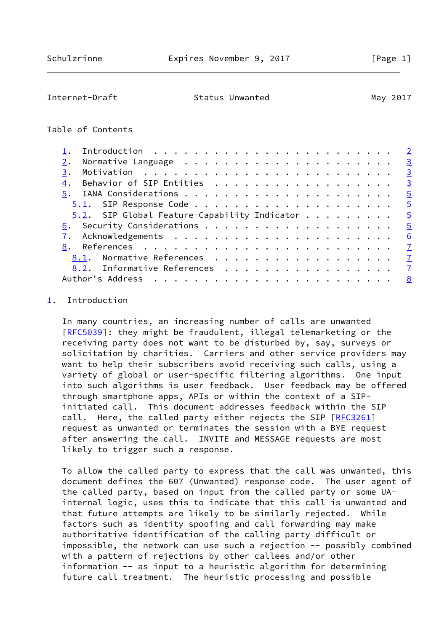## <span id="page-1-1"></span>Internet-Draft Status Unwanted May 2017

## Table of Contents

| $\overline{2}$                                                  |
|-----------------------------------------------------------------|
| $\overline{3}$                                                  |
| $\overline{3}$<br>3.                                            |
| Behavior of SIP Entities<br>$\overline{3}$<br>4.                |
| $\overline{5}$                                                  |
| $\overline{5}$                                                  |
| $5.2.$ SIP Global Feature-Capability Indicator<br>$\frac{5}{2}$ |
| $\overline{5}$                                                  |
| 6                                                               |
| $\overline{7}$<br>8.                                            |
| Normative References<br>$\overline{1}$<br>8.1.                  |
| 8.2. Informative References<br>$\overline{7}$                   |
| Author's Address<br>8                                           |

# <span id="page-1-0"></span>[1](#page-1-0). Introduction

 In many countries, an increasing number of calls are unwanted [\[RFC5039](https://datatracker.ietf.org/doc/pdf/rfc5039)]: they might be fraudulent, illegal telemarketing or the receiving party does not want to be disturbed by, say, surveys or solicitation by charities. Carriers and other service providers may want to help their subscribers avoid receiving such calls, using a variety of global or user-specific filtering algorithms. One input into such algorithms is user feedback. User feedback may be offered through smartphone apps, APIs or within the context of a SIP initiated call. This document addresses feedback within the SIP call. Here, the called party either rejects the SIP [\[RFC3261](https://datatracker.ietf.org/doc/pdf/rfc3261)] request as unwanted or terminates the session with a BYE request after answering the call. INVITE and MESSAGE requests are most likely to trigger such a response.

 To allow the called party to express that the call was unwanted, this document defines the 607 (Unwanted) response code. The user agent of the called party, based on input from the called party or some UA internal logic, uses this to indicate that this call is unwanted and that future attempts are likely to be similarly rejected. While factors such as identity spoofing and call forwarding may make authoritative identification of the calling party difficult or impossible, the network can use such a rejection -- possibly combined with a pattern of rejections by other callees and/or other information -- as input to a heuristic algorithm for determining future call treatment. The heuristic processing and possible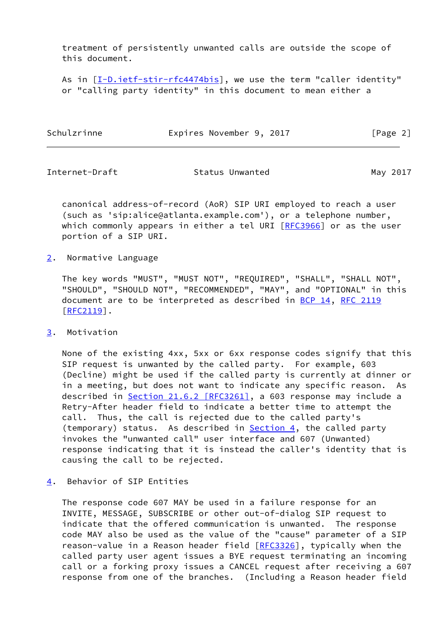treatment of persistently unwanted calls are outside the scope of this document.

As in  $[I-D.iett-stir-rfc4474bis]$ , we use the term "caller identity" or "calling party identity" in this document to mean either a

| Schulzrinne | Expires November 9, 2017 | [Page 2] |
|-------------|--------------------------|----------|
|             |                          |          |

<span id="page-2-1"></span>

Internet-Draft **Status Unwanted** May 2017

 canonical address-of-record (AoR) SIP URI employed to reach a user (such as 'sip:alice@atlanta.example.com'), or a telephone number, which commonly appears in either a tel URI [[RFC3966\]](https://datatracker.ietf.org/doc/pdf/rfc3966) or as the user portion of a SIP URI.

## <span id="page-2-0"></span>[2](#page-2-0). Normative Language

 The key words "MUST", "MUST NOT", "REQUIRED", "SHALL", "SHALL NOT", "SHOULD", "SHOULD NOT", "RECOMMENDED", "MAY", and "OPTIONAL" in this document are to be interpreted as described in [BCP 14](https://datatracker.ietf.org/doc/pdf/bcp14), [RFC 2119](https://datatracker.ietf.org/doc/pdf/rfc2119) [\[RFC2119](https://datatracker.ietf.org/doc/pdf/rfc2119)].

## <span id="page-2-2"></span>[3](#page-2-2). Motivation

 None of the existing 4xx, 5xx or 6xx response codes signify that this SIP request is unwanted by the called party. For example, 603 (Decline) might be used if the called party is currently at dinner or in a meeting, but does not want to indicate any specific reason. As described in Section [21.6.2 \[RFC3261\]](https://datatracker.ietf.org/doc/pdf/rfc3261#section-21.6.2), a 603 response may include a Retry-After header field to indicate a better time to attempt the call. Thus, the call is rejected due to the called party's (temporary) status. As described in **Section 4**, the called party invokes the "unwanted call" user interface and 607 (Unwanted) response indicating that it is instead the caller's identity that is causing the call to be rejected.

## <span id="page-2-3"></span>[4](#page-2-3). Behavior of SIP Entities

 The response code 607 MAY be used in a failure response for an INVITE, MESSAGE, SUBSCRIBE or other out-of-dialog SIP request to indicate that the offered communication is unwanted. The response code MAY also be used as the value of the "cause" parameter of a SIP reason-value in a Reason header field [[RFC3326](https://datatracker.ietf.org/doc/pdf/rfc3326)], typically when the called party user agent issues a BYE request terminating an incoming call or a forking proxy issues a CANCEL request after receiving a 607 response from one of the branches. (Including a Reason header field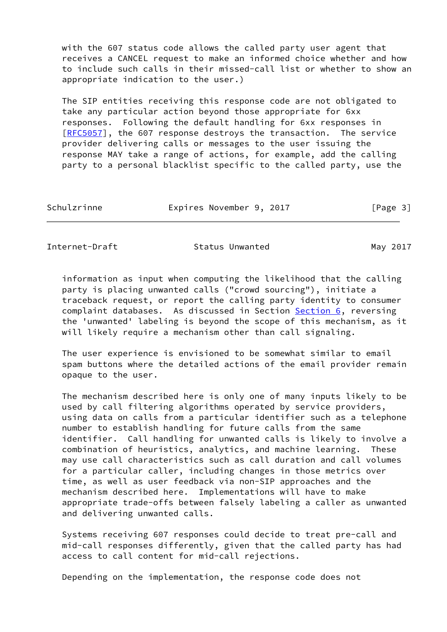with the 607 status code allows the called party user agent that receives a CANCEL request to make an informed choice whether and how to include such calls in their missed-call list or whether to show an appropriate indication to the user.)

 The SIP entities receiving this response code are not obligated to take any particular action beyond those appropriate for 6xx responses. Following the default handling for 6xx responses in [\[RFC5057](https://datatracker.ietf.org/doc/pdf/rfc5057)], the 607 response destroys the transaction. The service provider delivering calls or messages to the user issuing the response MAY take a range of actions, for example, add the calling party to a personal blacklist specific to the called party, use the

| Schulzrinne | Expires November 9, 2017 |  | [Page 3] |  |
|-------------|--------------------------|--|----------|--|
|             |                          |  |          |  |

Internet-Draft Status Unwanted May 2017

 information as input when computing the likelihood that the calling party is placing unwanted calls ("crowd sourcing"), initiate a traceback request, or report the calling party identity to consumer complaint databases. As discussed in Section [Section 6,](#page-5-1) reversing the 'unwanted' labeling is beyond the scope of this mechanism, as it will likely require a mechanism other than call signaling.

 The user experience is envisioned to be somewhat similar to email spam buttons where the detailed actions of the email provider remain opaque to the user.

 The mechanism described here is only one of many inputs likely to be used by call filtering algorithms operated by service providers, using data on calls from a particular identifier such as a telephone number to establish handling for future calls from the same identifier. Call handling for unwanted calls is likely to involve a combination of heuristics, analytics, and machine learning. These may use call characteristics such as call duration and call volumes for a particular caller, including changes in those metrics over time, as well as user feedback via non-SIP approaches and the mechanism described here. Implementations will have to make appropriate trade-offs between falsely labeling a caller as unwanted and delivering unwanted calls.

 Systems receiving 607 responses could decide to treat pre-call and mid-call responses differently, given that the called party has had access to call content for mid-call rejections.

Depending on the implementation, the response code does not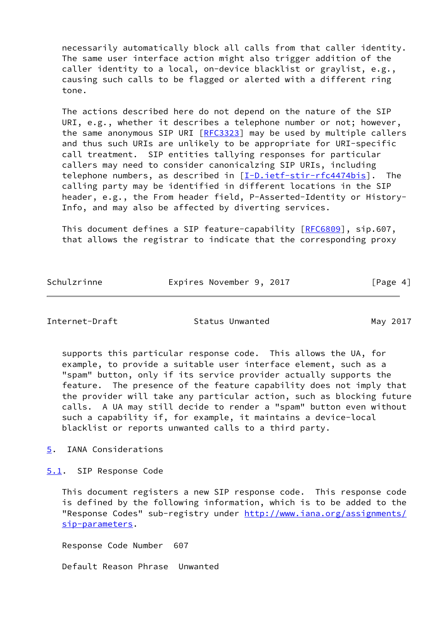necessarily automatically block all calls from that caller identity. The same user interface action might also trigger addition of the caller identity to a local, on-device blacklist or graylist, e.g., causing such calls to be flagged or alerted with a different ring tone.

 The actions described here do not depend on the nature of the SIP URI, e.g., whether it describes a telephone number or not; however, the same anonymous SIP URI [[RFC3323\]](https://datatracker.ietf.org/doc/pdf/rfc3323) may be used by multiple callers and thus such URIs are unlikely to be appropriate for URI-specific call treatment. SIP entities tallying responses for particular callers may need to consider canonicalzing SIP URIs, including telephone numbers, as described in  $[I-D.iett-stir-rfc4474bis]$ . The calling party may be identified in different locations in the SIP header, e.g., the From header field, P-Asserted-Identity or History- Info, and may also be affected by diverting services.

 This document defines a SIP feature-capability [\[RFC6809](https://datatracker.ietf.org/doc/pdf/rfc6809)], sip.607, that allows the registrar to indicate that the corresponding proxy

Schulzrinne Expires November 9, 2017 [Page 4]

<span id="page-4-1"></span>Internet-Draft Status Unwanted May 2017

 supports this particular response code. This allows the UA, for example, to provide a suitable user interface element, such as a "spam" button, only if its service provider actually supports the feature. The presence of the feature capability does not imply that the provider will take any particular action, such as blocking future calls. A UA may still decide to render a "spam" button even without such a capability if, for example, it maintains a device-local blacklist or reports unwanted calls to a third party.

<span id="page-4-0"></span>[5](#page-4-0). IANA Considerations

<span id="page-4-2"></span>[5.1](#page-4-2). SIP Response Code

 This document registers a new SIP response code. This response code is defined by the following information, which is to be added to the "Response Codes" sub-registry under [http://www.iana.org/assignments/](http://www.iana.org/assignments/sip-parameters) [sip-parameters](http://www.iana.org/assignments/sip-parameters).

Response Code Number 607

Default Reason Phrase Unwanted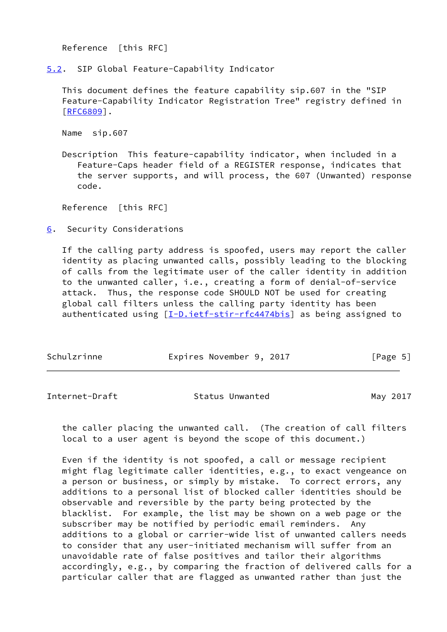Reference [this RFC]

<span id="page-5-0"></span>[5.2](#page-5-0). SIP Global Feature-Capability Indicator

 This document defines the feature capability sip.607 in the "SIP Feature-Capability Indicator Registration Tree" registry defined in [\[RFC6809](https://datatracker.ietf.org/doc/pdf/rfc6809)].

Name sip.607

 Description This feature-capability indicator, when included in a Feature-Caps header field of a REGISTER response, indicates that the server supports, and will process, the 607 (Unwanted) response code.

Reference [this RFC]

<span id="page-5-1"></span>[6](#page-5-1). Security Considerations

 If the calling party address is spoofed, users may report the caller identity as placing unwanted calls, possibly leading to the blocking of calls from the legitimate user of the caller identity in addition to the unwanted caller, i.e., creating a form of denial-of-service attack. Thus, the response code SHOULD NOT be used for creating global call filters unless the calling party identity has been authenticated using  $[I-D.iett-stir-rfc4474bis]$  as being assigned to

| Schulzrinne | Expires November 9, 2017 | [Page 5] |
|-------------|--------------------------|----------|
|             |                          |          |

<span id="page-5-2"></span>Internet-Draft Status Unwanted May 2017

 the caller placing the unwanted call. (The creation of call filters local to a user agent is beyond the scope of this document.)

 Even if the identity is not spoofed, a call or message recipient might flag legitimate caller identities, e.g., to exact vengeance on a person or business, or simply by mistake. To correct errors, any additions to a personal list of blocked caller identities should be observable and reversible by the party being protected by the blacklist. For example, the list may be shown on a web page or the subscriber may be notified by periodic email reminders. Any additions to a global or carrier-wide list of unwanted callers needs to consider that any user-initiated mechanism will suffer from an unavoidable rate of false positives and tailor their algorithms accordingly, e.g., by comparing the fraction of delivered calls for a particular caller that are flagged as unwanted rather than just the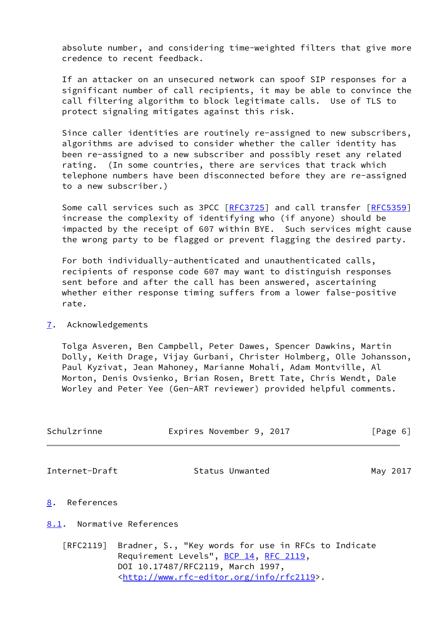absolute number, and considering time-weighted filters that give more credence to recent feedback.

 If an attacker on an unsecured network can spoof SIP responses for a significant number of call recipients, it may be able to convince the call filtering algorithm to block legitimate calls. Use of TLS to protect signaling mitigates against this risk.

 Since caller identities are routinely re-assigned to new subscribers, algorithms are advised to consider whether the caller identity has been re-assigned to a new subscriber and possibly reset any related rating. (In some countries, there are services that track which telephone numbers have been disconnected before they are re-assigned to a new subscriber.)

Some call services such as 3PCC [\[RFC3725](https://datatracker.ietf.org/doc/pdf/rfc3725)] and call transfer [\[RFC5359](https://datatracker.ietf.org/doc/pdf/rfc5359)] increase the complexity of identifying who (if anyone) should be impacted by the receipt of 607 within BYE. Such services might cause the wrong party to be flagged or prevent flagging the desired party.

 For both individually-authenticated and unauthenticated calls, recipients of response code 607 may want to distinguish responses sent before and after the call has been answered, ascertaining whether either response timing suffers from a lower false-positive rate.

## <span id="page-6-0"></span>[7](#page-6-0). Acknowledgements

 Tolga Asveren, Ben Campbell, Peter Dawes, Spencer Dawkins, Martin Dolly, Keith Drage, Vijay Gurbani, Christer Holmberg, Olle Johansson, Paul Kyzivat, Jean Mahoney, Marianne Mohali, Adam Montville, Al Morton, Denis Ovsienko, Brian Rosen, Brett Tate, Chris Wendt, Dale Worley and Peter Yee (Gen-ART reviewer) provided helpful comments.

<span id="page-6-2"></span>

| Schulzrinne                     | Expires November 9, 2017 | [Page 6] |
|---------------------------------|--------------------------|----------|
| Internet-Draft                  | Status Unwanted          | May 2017 |
| $\underline{8}$ .<br>References |                          |          |

## <span id="page-6-3"></span><span id="page-6-1"></span>[8.1](#page-6-3). Normative References

 [RFC2119] Bradner, S., "Key words for use in RFCs to Indicate Requirement Levels", [BCP 14](https://datatracker.ietf.org/doc/pdf/bcp14), [RFC 2119](https://datatracker.ietf.org/doc/pdf/rfc2119), DOI 10.17487/RFC2119, March 1997, <<http://www.rfc-editor.org/info/rfc2119>>.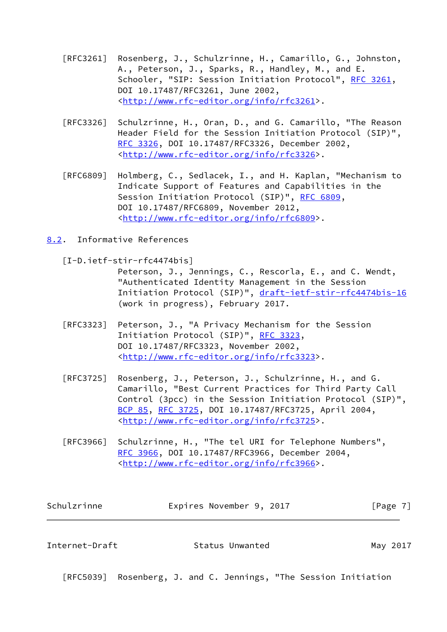- [RFC3261] Rosenberg, J., Schulzrinne, H., Camarillo, G., Johnston, A., Peterson, J., Sparks, R., Handley, M., and E. Schooler, "SIP: Session Initiation Protocol", [RFC 3261](https://datatracker.ietf.org/doc/pdf/rfc3261), DOI 10.17487/RFC3261, June 2002, <<http://www.rfc-editor.org/info/rfc3261>>.
- [RFC3326] Schulzrinne, H., Oran, D., and G. Camarillo, "The Reason Header Field for the Session Initiation Protocol (SIP)", [RFC 3326,](https://datatracker.ietf.org/doc/pdf/rfc3326) DOI 10.17487/RFC3326, December 2002, <<http://www.rfc-editor.org/info/rfc3326>>.
- [RFC6809] Holmberg, C., Sedlacek, I., and H. Kaplan, "Mechanism to Indicate Support of Features and Capabilities in the Session Initiation Protocol (SIP)", [RFC 6809,](https://datatracker.ietf.org/doc/pdf/rfc6809) DOI 10.17487/RFC6809, November 2012, <<http://www.rfc-editor.org/info/rfc6809>>.
- <span id="page-7-2"></span><span id="page-7-0"></span>[8.2](#page-7-0). Informative References
	- [I-D.ietf-stir-rfc4474bis]

 Peterson, J., Jennings, C., Rescorla, E., and C. Wendt, "Authenticated Identity Management in the Session Initiation Protocol (SIP)", [draft-ietf-stir-rfc4474bis-16](https://datatracker.ietf.org/doc/pdf/draft-ietf-stir-rfc4474bis-16) (work in progress), February 2017.

- [RFC3323] Peterson, J., "A Privacy Mechanism for the Session Initiation Protocol (SIP)", [RFC 3323,](https://datatracker.ietf.org/doc/pdf/rfc3323) DOI 10.17487/RFC3323, November 2002, <<http://www.rfc-editor.org/info/rfc3323>>.
- [RFC3725] Rosenberg, J., Peterson, J., Schulzrinne, H., and G. Camarillo, "Best Current Practices for Third Party Call Control (3pcc) in the Session Initiation Protocol (SIP)", [BCP 85](https://datatracker.ietf.org/doc/pdf/bcp85), [RFC 3725,](https://datatracker.ietf.org/doc/pdf/rfc3725) DOI 10.17487/RFC3725, April 2004, <<http://www.rfc-editor.org/info/rfc3725>>.
- [RFC3966] Schulzrinne, H., "The tel URI for Telephone Numbers", [RFC 3966,](https://datatracker.ietf.org/doc/pdf/rfc3966) DOI 10.17487/RFC3966, December 2004, <<http://www.rfc-editor.org/info/rfc3966>>.

| Schulzrinne | Expires November 9, 2017 |  | [Page 7] |
|-------------|--------------------------|--|----------|
|             |                          |  |          |

<span id="page-7-1"></span>Internet-Draft **Status Unwanted** May 2017

[RFC5039] Rosenberg, J. and C. Jennings, "The Session Initiation